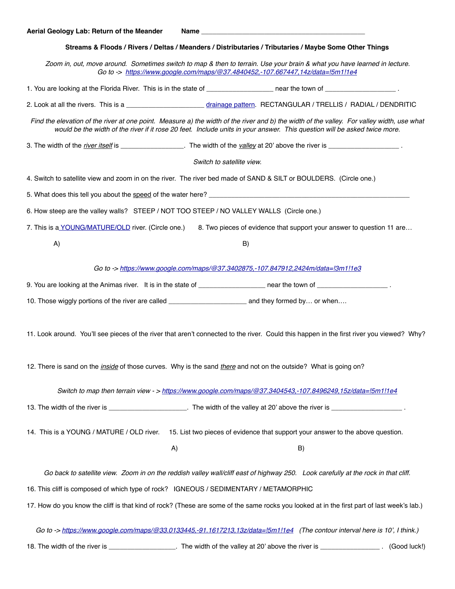## **Streams & Floods / Rivers / Deltas / Meanders / Distributaries / Tributaries / Maybe Some Other Things**

*Zoom in, out, move around. Sometimes switch to map & then to terrain. Use your brain & what you have learned in lecture. Go to -> <https://www.google.com/maps/@37.4840452,-107.667447,14z/data=!5m1!1e4>*

1. You are looking at the Florida River. This is in the state of \_\_\_\_\_\_\_\_\_\_\_\_\_\_\_\_\_\_ near the town of \_\_\_\_\_\_\_\_\_\_\_\_\_\_\_\_\_\_\_ .

2. Look at all the rivers. This is a \_\_\_\_\_\_\_\_\_\_\_\_\_\_\_\_\_\_\_\_\_\_\_ [drainage pattern](http://officersiasacademy.blogspot.com/2016/02/fast-track-ncert-reading-topic-drainage.html). RECTANGULAR / TRELLIS / RADIAL / DENDRITIC

*Find the elevation of the river at one point. Measure a) the width of the river and b) the width of the valley. For valley width, use what*  would be the width of the river if it rose 20 feet. Include units in your answer. This question will be asked twice more.

3. The width of the *river itself* is \_\_\_\_\_\_\_\_\_\_\_\_\_\_\_\_\_. The width of the *valley* at 20' above the river is \_\_\_\_\_\_\_\_\_\_\_\_\_\_\_\_\_\_\_ .

*Switch to satellite view.*

4. Switch to satellite view and zoom in on the river. The river bed made of SAND & SILT or BOULDERS. (Circle one.)

5. What does this tell you about the speed of the water here? \_\_\_\_\_\_\_\_\_\_\_\_\_\_\_\_\_\_\_

6. How steep are the valley walls? STEEP / NOT TOO STEEP / NO VALLEY WALLS (Circle one.)

7. This is [a YOUNG/MATURE/OLD](https://simple.wikipedia.org/wiki/River) river. (Circle one.) 8. Two pieces of evidence that support your answer to question 11 are…

 $(A)$  B)

*Go to -><https://www.google.com/maps/@37.3402875,-107.847912,2424m/data=!3m1!1e3>*

9. You are looking at the Animas river. It is in the state of \_\_\_\_\_\_\_\_\_\_\_\_\_\_\_\_\_ near the town of \_\_\_\_\_\_\_\_\_\_\_\_\_\_\_\_\_\_\_\_\_\_\_\_\_.

10. Those wiggly portions of the river are called \_\_\_\_\_\_\_\_\_\_\_\_\_\_\_\_\_\_\_\_\_\_\_\_\_\_\_\_\_\_ and they formed by... or when….

11. Look around. You'll see pieces of the river that aren't connected to the river. Could this happen in the first river you viewed? Why?

12. There is sand on the *inside* of those curves. Why is the sand *there* and not on the outside? What is going on?

*Switch to map then terrain view - > <https://www.google.com/maps/@37.3404543,-107.8496249,15z/data=!5m1!1e4>*

13. The width of the river is \_\_\_\_\_\_\_\_\_\_\_\_\_\_\_\_\_\_\_\_\_\_\_. The width of the valley at 20' above the river is \_\_\_\_\_\_\_\_\_

14. This is a YOUNG / MATURE / OLD river. 15. List two pieces of evidence that support your answer to the above question.

A) B)

*Go back to satellite view. Zoom in on the reddish valley wall/cliff east of highway 250. Look carefully at the rock in that cliff.* 

16. This cliff is composed of which type of rock? IGNEOUS / SEDIMENTARY / METAMORPHIC

17. How do you know the cliff is that kind of rock? (These are some of the same rocks you looked at in the first part of last week's lab.)

*Go to -> <https://www.google.com/maps/@33.0133445,-91.1617213,13z/data=!5m1!1e4>(The contour interval here is 10', I think.)*

18. The width of the river is \_\_\_\_\_\_\_\_\_\_\_\_\_\_\_\_\_\_\_\_. The width of the valley at 20' above the river is \_\_\_\_\_\_\_\_\_\_\_\_\_\_\_\_\_\_\_\_\_. (Good luck!)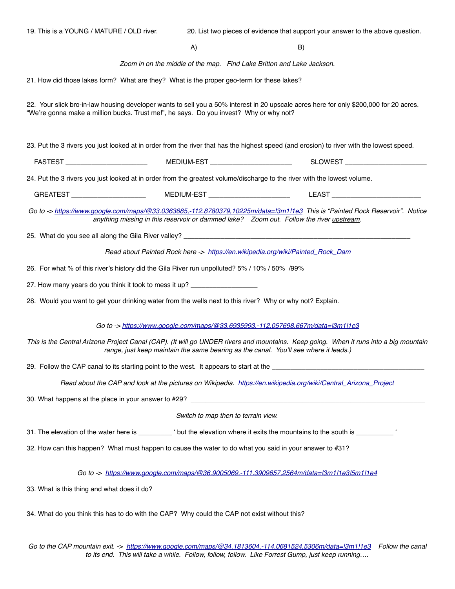| 19. This is a YOUNG / MATURE / OLD river.                                                                                                                                                                                        |    | 20. List two pieces of evidence that support your answer to the above question. |  |  |
|----------------------------------------------------------------------------------------------------------------------------------------------------------------------------------------------------------------------------------|----|---------------------------------------------------------------------------------|--|--|
|                                                                                                                                                                                                                                  | A) | B)                                                                              |  |  |
|                                                                                                                                                                                                                                  |    | Zoom in on the middle of the map. Find Lake Britton and Lake Jackson.           |  |  |
| 21. How did those lakes form? What are they? What is the proper geo-term for these lakes?                                                                                                                                        |    |                                                                                 |  |  |
| 22. Your slick bro-in-law housing developer wants to sell you a 50% interest in 20 upscale acres here for only \$200,000 for 20 acres.<br>"We're gonna make a million bucks. Trust me!", he says. Do you invest? Why or why not? |    |                                                                                 |  |  |
| 23. Put the 3 rivers you just looked at in order from the river that has the highest speed (and erosion) to river with the lowest speed.                                                                                         |    |                                                                                 |  |  |
| FASTEST _________________________  MEDIUM-EST ______________________  SLOWEST _____________________                                                                                                                              |    |                                                                                 |  |  |
| 24. Put the 3 rivers you just looked at in order from the greatest volume/discharge to the river with the lowest volume.                                                                                                         |    |                                                                                 |  |  |
| GREATEST ________________________  MEDIUM-EST ______________________  LEAST ________________________                                                                                                                             |    |                                                                                 |  |  |
| Go to -> https://www.google.com/maps/@33.0363685,-112.8780379,10225m/data=!3m1!1e3 This is "Painted Rock Reservoir". Notice<br>anything missing in this reservoir or dammed lake? Zoom out. Follow the river upstream.           |    |                                                                                 |  |  |
|                                                                                                                                                                                                                                  |    |                                                                                 |  |  |
| Read about Painted Rock here -> https://en.wikipedia.org/wiki/Painted_Rock_Dam                                                                                                                                                   |    |                                                                                 |  |  |
| 26. For what % of this river's history did the Gila River run unpolluted? 5% / 10% / 50% /99%                                                                                                                                    |    |                                                                                 |  |  |
| 27. How many years do you think it took to mess it up? _________________________                                                                                                                                                 |    |                                                                                 |  |  |
| 28. Would you want to get your drinking water from the wells next to this river? Why or why not? Explain.                                                                                                                        |    |                                                                                 |  |  |
| Go to -> https://www.google.com/maps/@33.6935993,-112.057698,667m/data=!3m1!1e3                                                                                                                                                  |    |                                                                                 |  |  |
| This is the Central Arizona Project Canal (CAP). (It will go UNDER rivers and mountains. Keep going. When it runs into a big mountain<br>range, just keep maintain the same bearing as the canal. You'll see where it leads.)    |    |                                                                                 |  |  |
| 29. Follow the CAP canal to its starting point to the west. It appears to start at the <b>20. Follow</b> the CAP canal to its starting point to the west. It appears to start at the <b>20. Follow</b>                           |    |                                                                                 |  |  |
| Read about the CAP and look at the pictures on Wikipedia. https://en.wikipedia.org/wiki/Central_Arizona_Project                                                                                                                  |    |                                                                                 |  |  |
|                                                                                                                                                                                                                                  |    |                                                                                 |  |  |
|                                                                                                                                                                                                                                  |    | Switch to map then to terrain view.                                             |  |  |
| 31. The elevation of the water here is __________ ' but the elevation where it exits the mountains to the south is ___________ '                                                                                                 |    |                                                                                 |  |  |
| 32. How can this happen? What must happen to cause the water to do what you said in your answer to #31?                                                                                                                          |    |                                                                                 |  |  |
| Go to -> https://www.google.com/maps/@36.9005069,-111.3909657,2564m/data=l3m1!1e3!5m1!1e4                                                                                                                                        |    |                                                                                 |  |  |
| 33. What is this thing and what does it do?                                                                                                                                                                                      |    |                                                                                 |  |  |
| 34. What do you think this has to do with the CAP? Why could the CAP not exist without this?                                                                                                                                     |    |                                                                                 |  |  |